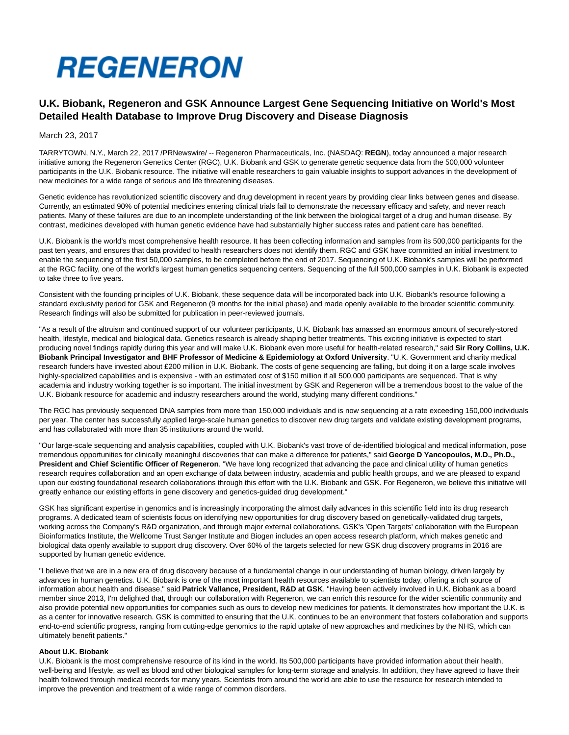

# **U.K. Biobank, Regeneron and GSK Announce Largest Gene Sequencing Initiative on World's Most Detailed Health Database to Improve Drug Discovery and Disease Diagnosis**

March 23, 2017

TARRYTOWN, N.Y., March 22, 2017 /PRNewswire/ -- Regeneron Pharmaceuticals, Inc. (NASDAQ: **REGN**), today announced a major research initiative among the Regeneron Genetics Center (RGC), U.K. Biobank and GSK to generate genetic sequence data from the 500,000 volunteer participants in the U.K. Biobank resource. The initiative will enable researchers to gain valuable insights to support advances in the development of new medicines for a wide range of serious and life threatening diseases.

Genetic evidence has revolutionized scientific discovery and drug development in recent years by providing clear links between genes and disease. Currently, an estimated 90% of potential medicines entering clinical trials fail to demonstrate the necessary efficacy and safety, and never reach patients. Many of these failures are due to an incomplete understanding of the link between the biological target of a drug and human disease. By contrast, medicines developed with human genetic evidence have had substantially higher success rates and patient care has benefited.

U.K. Biobank is the world's most comprehensive health resource. It has been collecting information and samples from its 500,000 participants for the past ten years, and ensures that data provided to health researchers does not identify them. RGC and GSK have committed an initial investment to enable the sequencing of the first 50,000 samples, to be completed before the end of 2017. Sequencing of U.K. Biobank's samples will be performed at the RGC facility, one of the world's largest human genetics sequencing centers. Sequencing of the full 500,000 samples in U.K. Biobank is expected to take three to five years.

Consistent with the founding principles of U.K. Biobank, these sequence data will be incorporated back into U.K. Biobank's resource following a standard exclusivity period for GSK and Regeneron (9 months for the initial phase) and made openly available to the broader scientific community. Research findings will also be submitted for publication in peer-reviewed journals.

"As a result of the altruism and continued support of our volunteer participants, U.K. Biobank has amassed an enormous amount of securely-stored health, lifestyle, medical and biological data. Genetics research is already shaping better treatments. This exciting initiative is expected to start producing novel findings rapidly during this year and will make U.K. Biobank even more useful for health-related research," said **Sir Rory Collins, U.K. Biobank Principal Investigator and BHF Professor of Medicine & Epidemiology at Oxford University**. "U.K. Government and charity medical research funders have invested about £200 million in U.K. Biobank. The costs of gene sequencing are falling, but doing it on a large scale involves highly-specialized capabilities and is expensive - with an estimated cost of \$150 million if all 500,000 participants are sequenced. That is why academia and industry working together is so important. The initial investment by GSK and Regeneron will be a tremendous boost to the value of the U.K. Biobank resource for academic and industry researchers around the world, studying many different conditions."

The RGC has previously sequenced DNA samples from more than 150,000 individuals and is now sequencing at a rate exceeding 150,000 individuals per year. The center has successfully applied large-scale human genetics to discover new drug targets and validate existing development programs, and has collaborated with more than 35 institutions around the world.

"Our large-scale sequencing and analysis capabilities, coupled with U.K. Biobank's vast trove of de-identified biological and medical information, pose tremendous opportunities for clinically meaningful discoveries that can make a difference for patients," said **George D Yancopoulos, M.D., Ph.D., President and Chief Scientific Officer of Regeneron**. "We have long recognized that advancing the pace and clinical utility of human genetics research requires collaboration and an open exchange of data between industry, academia and public health groups, and we are pleased to expand upon our existing foundational research collaborations through this effort with the U.K. Biobank and GSK. For Regeneron, we believe this initiative will greatly enhance our existing efforts in gene discovery and genetics-guided drug development."

GSK has significant expertise in genomics and is increasingly incorporating the almost daily advances in this scientific field into its drug research programs. A dedicated team of scientists focus on identifying new opportunities for drug discovery based on genetically-validated drug targets, working across the Company's R&D organization, and through major external collaborations. GSK's 'Open Targets' collaboration with the European Bioinformatics Institute, the Wellcome Trust Sanger Institute and Biogen includes an open access research platform, which makes genetic and biological data openly available to support drug discovery. Over 60% of the targets selected for new GSK drug discovery programs in 2016 are supported by human genetic evidence.

"I believe that we are in a new era of drug discovery because of a fundamental change in our understanding of human biology, driven largely by advances in human genetics. U.K. Biobank is one of the most important health resources available to scientists today, offering a rich source of information about health and disease," said **Patrick Vallance, President, R&D at GSK**. "Having been actively involved in U.K. Biobank as a board member since 2013, I'm delighted that, through our collaboration with Regeneron, we can enrich this resource for the wider scientific community and also provide potential new opportunities for companies such as ours to develop new medicines for patients. It demonstrates how important the U.K. is as a center for innovative research. GSK is committed to ensuring that the U.K. continues to be an environment that fosters collaboration and supports end-to-end scientific progress, ranging from cutting-edge genomics to the rapid uptake of new approaches and medicines by the NHS, which can ultimately benefit patients."

## **About U.K. Biobank**

U.K. Biobank is the most comprehensive resource of its kind in the world. Its 500,000 participants have provided information about their health, well-being and lifestyle, as well as blood and other biological samples for long-term storage and analysis. In addition, they have agreed to have their health followed through medical records for many years. Scientists from around the world are able to use the resource for research intended to improve the prevention and treatment of a wide range of common disorders.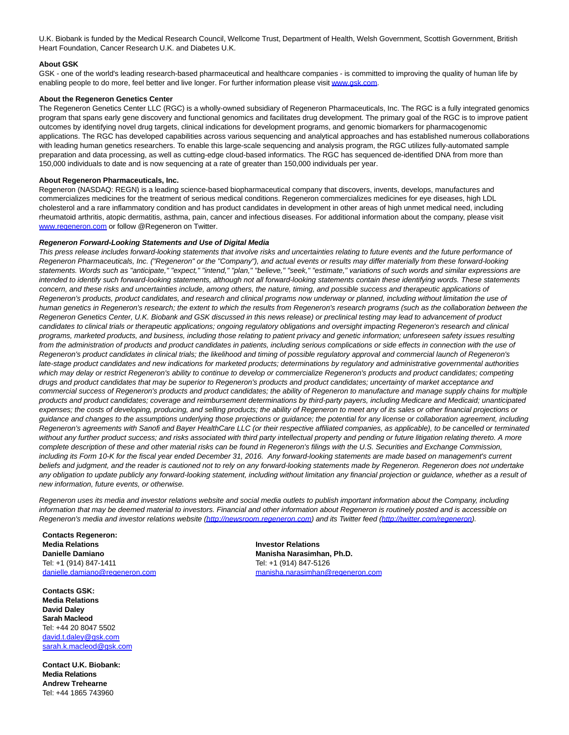U.K. Biobank is funded by the Medical Research Council, Wellcome Trust, Department of Health, Welsh Government, Scottish Government, British Heart Foundation, Cancer Research U.K. and Diabetes U.K.

# **About GSK**

GSK - one of the world's leading research-based pharmaceutical and healthcare companies - is committed to improving the quality of human life by enabling people to do more, feel better and live longer. For further information please visi[t www.gsk.com.](http://www.gsk.com/)

#### **About the Regeneron Genetics Center**

The Regeneron Genetics Center LLC (RGC) is a wholly-owned subsidiary of Regeneron Pharmaceuticals, Inc. The RGC is a fully integrated genomics program that spans early gene discovery and functional genomics and facilitates drug development. The primary goal of the RGC is to improve patient outcomes by identifying novel drug targets, clinical indications for development programs, and genomic biomarkers for pharmacogenomic applications. The RGC has developed capabilities across various sequencing and analytical approaches and has established numerous collaborations with leading human genetics researchers. To enable this large-scale sequencing and analysis program, the RGC utilizes fully-automated sample preparation and data processing, as well as cutting-edge cloud-based informatics. The RGC has sequenced de-identified DNA from more than 150,000 individuals to date and is now sequencing at a rate of greater than 150,000 individuals per year.

#### **About Regeneron Pharmaceuticals, Inc.**

Regeneron (NASDAQ: REGN) is a leading science-based biopharmaceutical company that discovers, invents, develops, manufactures and commercializes medicines for the treatment of serious medical conditions. Regeneron commercializes medicines for eye diseases, high LDL cholesterol and a rare inflammatory condition and has product candidates in development in other areas of high unmet medical need, including rheumatoid arthritis, atopic dermatitis, asthma, pain, cancer and infectious diseases. For additional information about the company, please visit [www.regeneron.com o](http://www.regeneron.com/)r follow @Regeneron on Twitter.

### **Regeneron Forward-Looking Statements and Use of Digital Media**

This press release includes forward-looking statements that involve risks and uncertainties relating to future events and the future performance of Regeneron Pharmaceuticals, Inc. ("Regeneron" or the "Company"), and actual events or results may differ materially from these forward-looking statements. Words such as "anticipate," "expect," "intend," "plan," "believe," "seek," "estimate," variations of such words and similar expressions are intended to identify such forward-looking statements, although not all forward-looking statements contain these identifying words. These statements concern, and these risks and uncertainties include, among others, the nature, timing, and possible success and therapeutic applications of Regeneron's products, product candidates, and research and clinical programs now underway or planned, including without limitation the use of human genetics in Regeneron's research; the extent to which the results from Regeneron's research programs (such as the collaboration between the Regeneron Genetics Center, U.K. Biobank and GSK discussed in this news release) or preclinical testing may lead to advancement of product candidates to clinical trials or therapeutic applications; ongoing regulatory obligations and oversight impacting Regeneron's research and clinical programs, marketed products, and business, including those relating to patient privacy and genetic information; unforeseen safety issues resulting from the administration of products and product candidates in patients, including serious complications or side effects in connection with the use of Regeneron's product candidates in clinical trials; the likelihood and timing of possible regulatory approval and commercial launch of Regeneron's late-stage product candidates and new indications for marketed products; determinations by regulatory and administrative governmental authorities which may delay or restrict Regeneron's ability to continue to develop or commercialize Regeneron's products and product candidates; competing drugs and product candidates that may be superior to Regeneron's products and product candidates; uncertainty of market acceptance and commercial success of Regeneron's products and product candidates; the ability of Regeneron to manufacture and manage supply chains for multiple products and product candidates; coverage and reimbursement determinations by third-party payers, including Medicare and Medicaid; unanticipated expenses; the costs of developing, producing, and selling products; the ability of Regeneron to meet any of its sales or other financial projections or guidance and changes to the assumptions underlying those projections or guidance; the potential for any license or collaboration agreement, including Regeneron's agreements with Sanofi and Bayer HealthCare LLC (or their respective affiliated companies, as applicable), to be cancelled or terminated without any further product success; and risks associated with third party intellectual property and pending or future litigation relating thereto. A more complete description of these and other material risks can be found in Regeneron's filings with the U.S. Securities and Exchange Commission, including its Form 10-K for the fiscal year ended December 31, 2016. Any forward-looking statements are made based on management's current beliefs and judgment, and the reader is cautioned not to rely on any forward-looking statements made by Regeneron. Regeneron does not undertake any obligation to update publicly any forward-looking statement, including without limitation any financial projection or guidance, whether as a result of new information, future events, or otherwise.

Regeneron uses its media and investor relations website and social media outlets to publish important information about the Company, including information that may be deemed material to investors. Financial and other information about Regeneron is routinely posted and is accessible on Regeneron's media and investor relations website [\(http://newsroom.regeneron.com\)](http://newsroom.regeneron.com/) and its Twitter feed [\(http://twitter.com/regeneron\).](http://twitter.com/regeneron)

**Contacts Regeneron: Media Relations Investor Relations Danielle Damiano Manisha Narasimhan, Ph.D.** Tel: +1 (914) 847-1411<br>
danielle.damiano@regeneron.com manisha.narasimhan@

**Contacts GSK: Media Relations David Daley Sarah Macleod**  Tel: +44 20 8047 5502 [david.t.daley@gsk.com](mailto:david.t.daley@gsk.com) [sarah.k.macleod@gsk.com](mailto:sarah.k.macleod@gsk.com)

**Contact U.K. Biobank: Media Relations Andrew Trehearne** Tel: +44 1865 743960

[manisha.narasimhan@regeneron.com](mailto:manisha.narasimhan@regeneron.com)